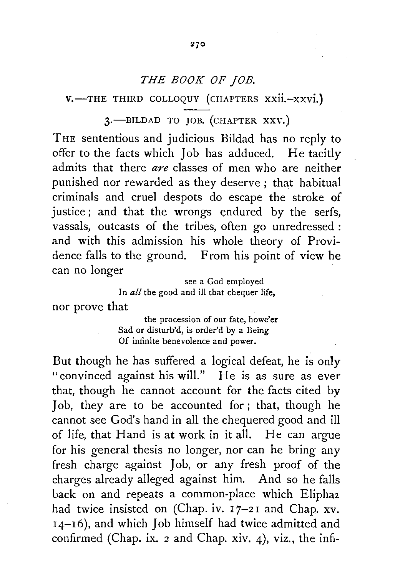## *THE BOOK OF JOB.*

 $V$ <sup>-THE</sup> THIRD COLLOQUY (CHAPTERS XXII.-XXVI.)

3.-BILDAD TO JOB. (CHAPTER XXV.)

THE sententious and judicious Bildad has no reply to offer to the facts which Job has adduced. He tacitly admits that there *are* classes of men who are neither punished nor rewarded as they deserve ; that habitual criminals and cruel despots do escape the stroke of justice; and that the wrongs endured by the serfs, vassals, outcasts of the tribes, often go unredressed : and with this admission his whole theory of Providence falls to the ground. From his point of view he can no longer see a God employed

In *all* the good and ill that chequer life,

nor prove that

the procession of our fate, howe'er Sad or disturb'd, is order'd by a Being Of infinite benevolence and power.

But though he has suffered a logical defeat, he is only "convinced against his will." He is as sure as ever that, though he cannot account for the facts cited by Job, they are to be accounted for ; that, though he cannot see God's hand in all the chequered good and ill of life, that Hand is at work in it all. He can argue for his general thesis no longer, nor can he bring any fresh charge against Job, or any fresh proof of the charges already alleged against him. And so he falls back on and repeats a common-place which Elipha2. had twice insisted on (Chap. iv.  $17-21$  and Chap. xv. 14-16), and which Job himself had twice admitted and confirmed (Chap. ix. 2 and Chap. xiv. 4), viz., the infi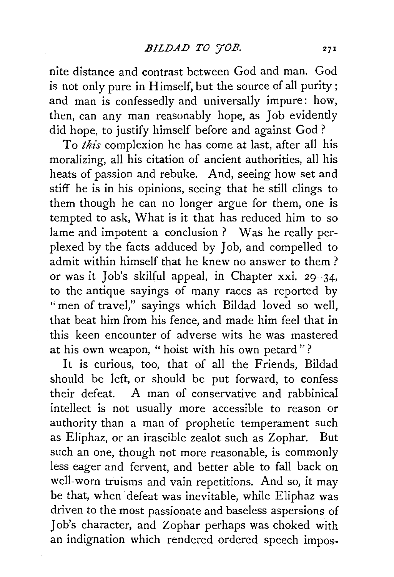nite distance and contrast between God and man. God is not only pure in Himself, but the source of all purity; and man is confessedly and universally impure: how, then, can any man reasonably hope, as Job evidently did hope, to justify himself before and against God ?

To *this* complexion he has come at last, after all his moralizing, all his citation of ancient authorities, all his heats of passion and rebuke. And, seeing how set and stiff he is in his opinions, seeing that he still clings to them though he can no longer argue for them, one is tempted to ask, What is it that has reduced him to so lame and impotent a conclusion? Was he really perplexed by the facts adduced by Job, and compelled to admit within himself that he knew no answer to them ? or was it Job's skilful appeal, in Chapter xxi. 29-34, to the antique sayings of many races as reported by "men of travel," sayings which Bildad loved so well, that beat him from his fence, and made him feel that in this keen encounter of adverse wits he was mastered at his own weapon, " hoist with his own petard"?

It is curious, too, that of all the Friends, Bildad should be left, or should be put forward, to confess their defeat. A man of conservative and rabbinical intellect is not usually more accessible to reason or authority than a man of prophetic temperament such as Eliphaz, or an irascible zealot such as Zophar. But such an one, though not more reasonable, is commonly less eager and fervent, and better able to fall back on well-worn truisms and vain repetitions. And so, it may be that, when 'defeat was inevitable, while Eliphaz was driven to the most passionate and baseless aspersions of Job's character, and Zophar perhaps was choked with an indignation which rendered ordered speech impos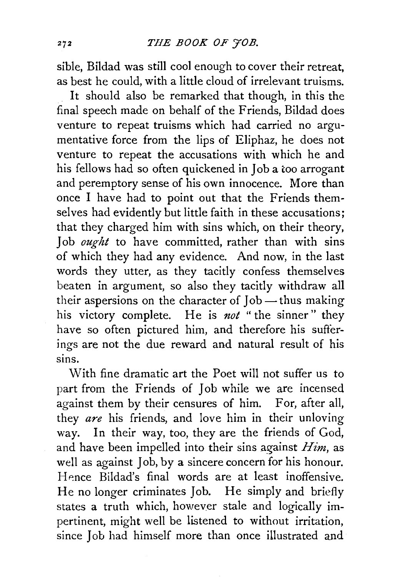sible, Bildad was still cool enough to cover their retreat, as best he could, with a little cloud of irrelevant truisms.

It should also be remarked that though, in this the final speech made on behalf of the Friends, Bildad does venture to repeat truisms which had carried no argumentative force from the lips of Eliphaz, he does not venture to repeat the accusations with which he and his fellows had so often quickened in Job a too arrogant and peremptory sense of his own innocence. More than once I have had to point out that the Friends themselves had evidently but little faith in these accusations; that they charged him with sins which, on their theory, Job *ought* to have committed, rather than with sins of which they had any evidence. And now, in the last words they utter, as they tacitly confess themselves beaten in argument, so also they tacitly withdraw all their aspersions on the character of Job-thus making his victory complete. He is *not* "the sinner" they have so often pictured him, and therefore his sufferings are not the due reward and natural result of his sins.

With fine dramatic art the Poet will not suffer us to part from the Friends of Job while we are incensed against them by their censures of him. For, after all, they *are* his friends, and love him in their unloving way. In their way, too, they are the friends of God, and have been impelled into their sins against *Him,* as well as against Job, by a sincere concern for his honour. Hence Bildad's final words are at least inoffensive. He no longer criminates Job. He simply and briefly states a truth which, however stale and logically impertinent, might well be listened to without irritation, since Job had himself more than once illustrated and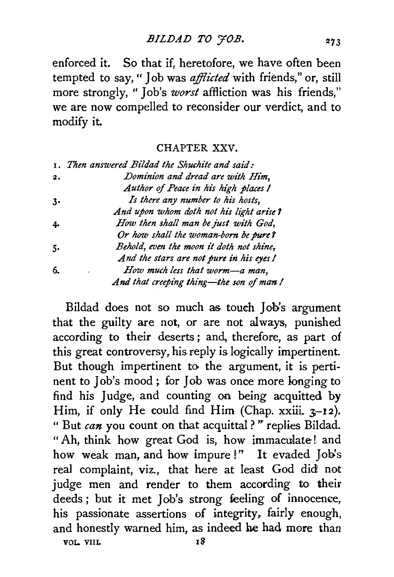BILDAD TO 70B.

enforced it. So that if, heretofore, we have often been tempted to say, " Job was *afflicted* with friends," or, still more strongly, " Job's *worst* affliction was his friends," we are now compelled to reconsider our verdict, and to modify it.

CHAPTER XXV.

|    | 1. Then answered Bildad the Shuchite and said: |
|----|------------------------------------------------|
| 2. | Dominion and dread are with Him.               |
|    | Author of Peace in his high places I           |
| 3. | Is there any number to his hosts,              |
|    | And upon whom doth not his light arise?        |
| 4. | How then shall man be just with God,           |
|    | Or how shall the woman-born be pure?           |
| 5. | Behold, even the moon it doth not shine,       |
|    | And the stars are not pure in his eyes!        |
| 6. | How much less that worm-a man,                 |
|    | And that creeping thing—the son of man!        |

Bildad does not so much as toueh Job's argument that the guilty are not, or are not always, punished according to their deserts ; and, therefore, as part of this great controversy, his reply is logically impertinent. But though impertinent to the argument, it is pertinent to Job's mood ; for Job was once more longing to find his Judge, and counting on being acquitted by Him, if only He could find Him (Chap.  $x\ddot{x}$ ii.  $x-12$ ). "But *can* you count on that acquittal?" replies Bildad. " Ah, think how great God is, how immaculate! and how weak man, and how impure!" It evaded Job's real complaint, viz., that here at least God did not judge men and render to them according to their deeds; but it met Job's strong feeling of innocence, his passionate assertions of integrity, fairly enough, and honestly warned him, as indeed he had more than VOL. VIII. 18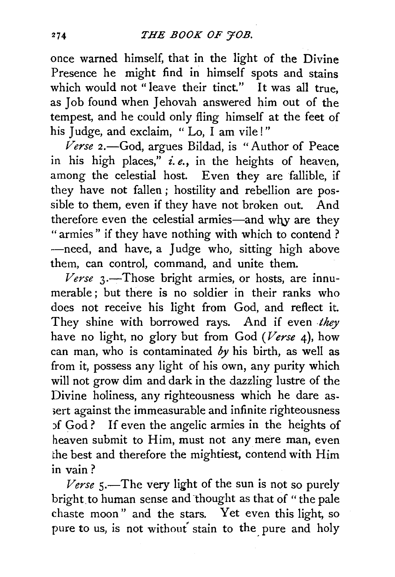once warned himself, that in the light of the Divine Presence he might find in himself spots and stains which would not "leave their tinct." It was all true, as Job found when Jehovah answered him out of the tempest, and he could only fling himself at the feet of his Judge, and exclaim, "Lo, I am vile!"

*Verse* 2.-God, argues Bildad, is "Author of Peace in his high places," *i.e.,* in the heights of heaven, among the celestial host. Even they are fallible, if they have not fallen ; hostility and rebellion are possible to them, even if they have not broken out. And therefore even the celestial armies-and why are they "armies" if they have nothing with which to contend ? -need, and have, a Judge who, sitting high above them, can control, command, and unite them.

*Verse* 3.—Those bright armies, or hosts, are innumerable ; but there is no soldier in their ranks who does not receive his light from God, and reflect it. They shine with borrowed rays. And if even *they* have no light, no glory but from God *(Verse* 4), how can man, who is contaminated  $by$  his birth, as well as from it, possess any light of his own, any purity which will not grow dim and dark in the dazzling lustre of the Divine holiness, any righteousness which he dare as sert against the immeasurable and infinite righteousness )f God ? If even the angelic armies in the heights of heaven submit to Him, must not any mere man, even the best and therefore the mightiest, contend with Him in vain?

*Verse*  $5$ .—The very light of the sun is not so purely bright to human sense and thought as that of " the pale chaste moon " and the stars. Yet even this light, so pure to us, is not without stain to the pure and holy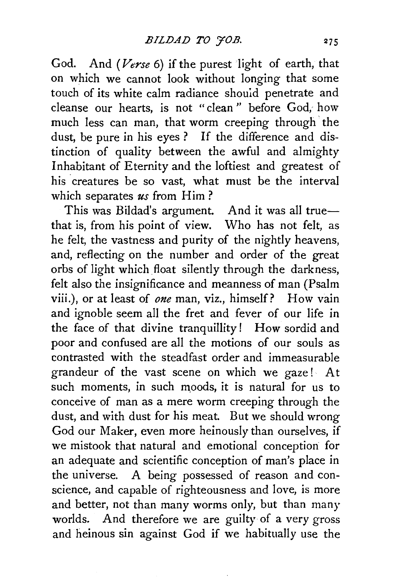God. And *(Verse* 6) if the purest light of earth, that on which we cannot look without longing that some touch of its white calm radiance should penetrate and cleanse our hearts, is not "clean " before God, how much less can man, that worm creeping through the dust, be pure in his eyes ? If the difference and distinction of quality between the awful and almighty Inhabitant of Eternity and the loftiest and greatest of his creatures be so vast, what must be the interval which separates *us* from Him?

This was Bildad's argument. And it was all truethat is, from his point of view. Who has not felt, as he felt, the vastness and purity of the nightly heavens, and, reflecting on the number and order of the great orbs of light which float silently through the darkness, felt also the insignificance and meanness of man (Psalm viii.), or at least of *one* man, viz., himself? How vain and ignoble seem all the fret and fever of our life in the face of that divine tranquillity! How sordid and poor and confused are all the motions of our souls as contrasted with the steadfast order and immeasurable grandeur of the vast scene on which we gaze! At such moments, in such moods, it is natural for us to conceive of man as a mere worm creeping through the dust, and with dust for his meat. But we should wrong God our Maker, even more heinously than ourselves, if we mistook that natural and emotional conception for an adequate and scientific conception of man's place in the universe. A being possessed of reason and conscience, and capable of righteousness and love, is more and better, not than many worms only, but than many worlds. And therefore we are guilty of a very gross and heinous sin against God if we habitually use the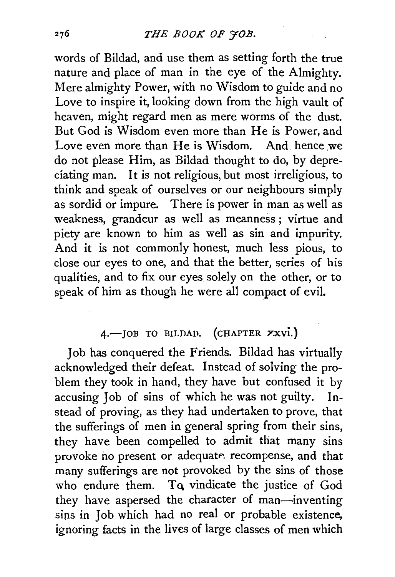words of Bildad, and use them as setting forth the true nature and place of man in the eye of the Almighty. Mere almighty Power, with no Wisdom to guide and no Love to inspire it, looking down from the high vault of heaven, might regard men as mere worms of the dust. But God is Wisdom even more than He is Power, and Love even more than He is Wisdom. And hence we do not please Him, as Bildad thought to do, by depreciating man. It is not religious, but most irreligious, to think and speak of ourselves or our neighbours simply as sordid or impure. There is power in man as well as weakness, grandeur as well as meanness ; virtue and piety are known to him as well as sin and impurity. And it is not commonly honest, much less pious, to close our eyes to one, and that the better, series of his qualities, and to fix our eyes solely on the other, or to speak of him as though he were all compact of evil.

## 4.- JOB TO BILDAD. (CHAPTER YXVI.)

Job has conquered the Friends. Bildad has virtually acknowledged their defeat. Instead of solving the problem they took in hand, they have but confused it by accusing Job of sins of which he was not guilty. Instead of proving, as they had undertaken to prove, that the sufferings of men in general spring from their sins, they have been compelled to admit that many sins provoke no present or adequate, recompense, and that many sufferings are not provoked by the sins of those who endure them. To vindicate the justice of God they have aspersed the character of man-inventing sins in Job which had no real or probable existence, ignoring facts in the lives of large classes of men which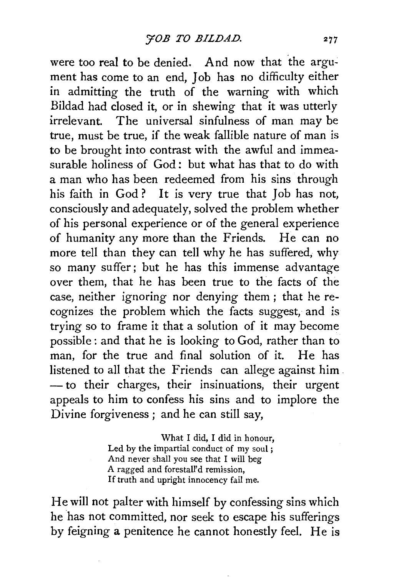were too real to be denied. And now that the argument has come to an end, Job has no difficulty either in admitting the truth of the warning with which Bildad had closed it, or in shewing that it was utterly irrelevant. The universal sinfulness of man may be true, must be true, if the weak fallible nature of man is to be brought into contrast with the awful and immeasurable holiness of God: but what has that to do with a man who has been redeemed from his sins through his faith in God ? It is very true that Job has not, consciously and adequately, solved the problem whether of his personal experience or of the general experience of humanity any more than the Friends. He can no more tell than they can tell why he has suffered, why so many suffer; but he has this immense advantage over them, that he has been true to the facts of the case, neither ignoring nor denying them ; that he recognizes the problem which the facts suggest, and *is*  trying so to frame it that a solution of it may become possible : and that he is looking to God, rather than to man, for the true and final solution of it. He has listened to all that the Friends can allege against him. - to their charges, their insinuations, their urgent appeals to him to confess his sins and to implore the Divine forgiveness ; and he can still say,

> What I did, I did in honour, Led by the impartial conduct of my soul ; And never shall you see that I will beg A ragged and forestalYd remission, If truth and upright innocency fail me.

He will not palter with himself by confessing sins which he has not committed, nor seek to escape his sufferings by feigning a penitence he cannot honestly feel. He is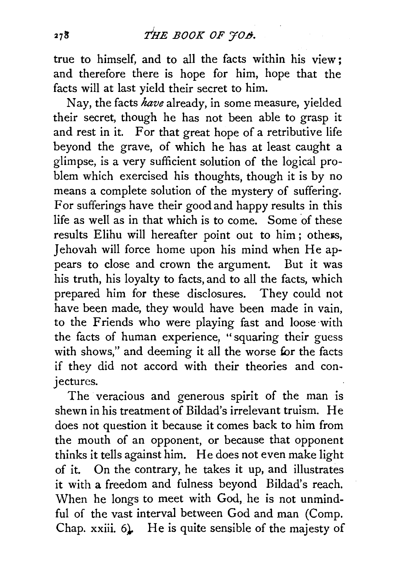true to himself, and to all the facts within his view ; and therefore there is hope for him, hope that the facts will at last yield their secret to him.

Nay, the facts *have* already, in some measure, yielded their secret, though he has not been able to grasp it and rest in it. For that great hope of a retributive life beyond the grave, of which he has at least caught a glimpse, is a very sufficient solution of the logical problem which exercised his thoughts, though it is by no means a complete solution of the mystery of suffering. For sufferings have their good and happy results in this life as well as in that which is to come. Some of these results Elihu will hereafter point out to him; others, Jehovah will force home upon his mind when Heappears to close and crown the argument. But it was his truth, his loyalty to facts, and to all the facts, which prepared him for these disclosures. They could not have been made, they would have been made in vain, to the Friends who were playing fast and loose·with the facts of human experience, "squaring their guess with shows," and deeming it all the worse for the facts if they did not accord with their theories and conjectures.

The veracious and generous spirit of the man is shewn in his treatment of Bildad's irrelevant truism. He does not question it because it comes back to him from the mouth of an opponent, or because that opponent thinks it tells against him. He does not even make light of it. On the contrary, he takes it up, and illustrates it with a freedom and fulness beyond Bildad's reach. When he longs to meet with God, he is not unmindful of the vast interval between God and man (Comp. Chap. xxiii. 6. He is quite sensible of the majesty of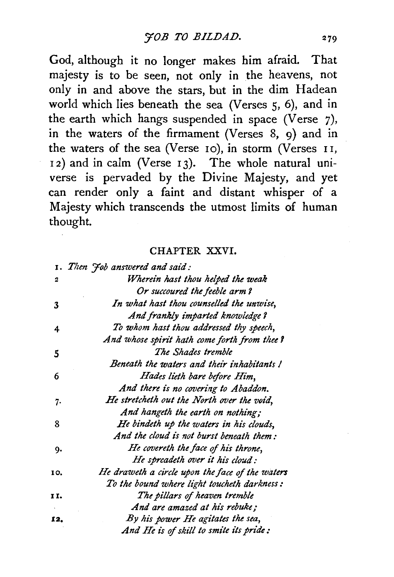God, although it no longer makes him afraid. That majesty is to be seen, not only in the heavens, not only in and above the stars, but in the dim Hadean world which lies beneath the sea (Verses 5, 6), and in the earth which hangs suspended in space (Verse 7), in the waters of the firmament (Verses 8, 9) and in the waters of the sea (Verse 10), in storm (Verses 11, 12) and in calm (Verse 13). The whole natural universe is pervaded by the Divine Majesty, and yet can render only a faint and distant whisper of a Majesty which transcends the utmost limits of human thought.

## CHAPTER XXVI.

|     | 1. Then Job answered and said:                  |
|-----|-------------------------------------------------|
| 2   | Wherein hast thou helped the weak               |
|     | Or succoured the feeble arm?                    |
| 3   | In what hast thou counselled the unwise,        |
|     | And frankly imparted knowledge?                 |
| 4   | To whom hast thou addressed thy speech,         |
|     | And whose spirit hath come forth from thee?     |
| 5   | The Shades tremble                              |
|     | Beneath the waters and their inhabitants!       |
| 6   | Hades lieth bare before Him,                    |
|     | And there is no covering to Abaddon.            |
| 7.  | He stretcheth out the North over the void,      |
|     | And hangeth the earth on nothing;               |
| 8   | He bindeth up the waters in his clouds,         |
|     | And the cloud is not burst beneath them:        |
| 9.  | He covereth the face of his throne,             |
|     | He spreadeth over it his cloud:                 |
| 10. | He draweth a circle upon the face of the waters |
|     | To the bound where light toucheth darkness:     |
| 11. | The pillars of heaven tremble                   |
|     | And are amazed at his rebuke;                   |
| 12. | By his power He agitates the sea,               |
|     | And He is of skill to smite its pride:          |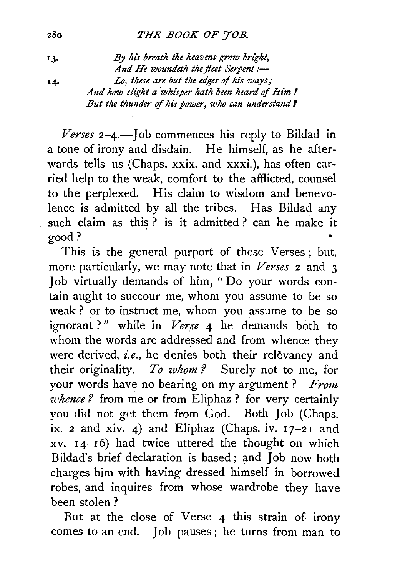## 28o *THE BOOK OF YOB.*

13. *By hi's breath the heavens grow bright,*  And He woundeth the fleet Serpent:-I4• Lo, *these are but the edges of his ways; And how sli'ght a whisper hath been heard of him I But the thunder of hi's power, who can understand 1* 

 *Tob commences his reply to Bildad in* a tone of irony and disdain. He himself, as he afterwards tells us (Chaps. xxix. and xxxi.), has often carried help to the weak, comfort to the afflicted, counsel to the perplexed. His claim to wisdom and benevolence is admitted by all the tribes. Has Bildad any such claim as this ? is it admitted ? can he make it good?

This is the general purport of these Verses ; but, more particularly, we may note that in *Verses* 2 and 3 Job virtually demands of him, " Do your words contain aught to succour me, whom you assume to be so weak ? or to instruct me, whom you assume to be so ignorant?" while in *Verse* 4 he demands both to whom the words are addressed and from whence they were derived, *i.e.*, he denies both their relevancy and their originality. *To whom?* Surely not to me, for your words have no bearing on my argument ? *From whence?* from me or from Eliphaz ? for very certainly you did not get them from God. Both Job (Chaps. ix. 2 and xiv. 4) and Eliphaz (Chaps. iv.  $17-21$  and  $xy. I4-I6$ ) had twice uttered the thought on which Bildad's brief declaration is based; and Job now both charges him with having dressed himself in borrowed robes, and inquires from whose wardrobe they have been stolen ?

But at the close of Verse 4 this strain of irony comes to an end. Job pauses; he turns from man to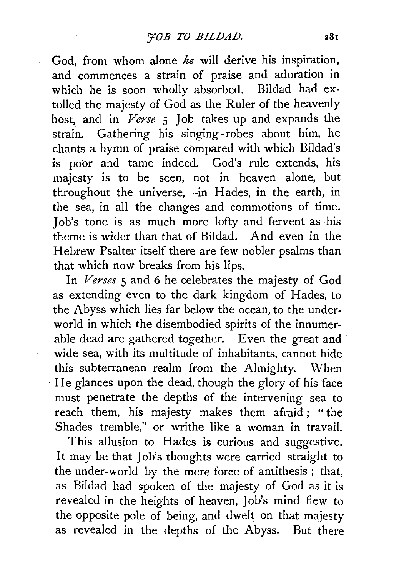God, from whom alone *he* will derive his inspiration, and commences a strain of praise and adoration in which he is soon wholly absorbed. Bildad had extolled the majesty of God as the Ruler of the heavenly host, and in *Verse* 5 Job takes up and expands the strain. Gathering his singing-robes about him, he chants a hymn of praise compared with which Bildad's is poor and tame indeed. God's rule extends, his majesty is to be seen, not in heaven alone, but throughout the universe,-in Hades, in the earth, in the sea, in all the changes and commotions of time. Job's tone is as much more lofty and fervent as his theme is wider than that of Bildad. And even in the Hebrew Psalter itself there are few nobler psalms than that which now breaks from his lips.

In *Verses* 5 and 6 he celebrates the majesty of God as extending even to the dark kingdom of Hades, to the Abyss which lies far below the ocean, to the underworld in which the disembodied spirits of the innumerable dead are gathered together. Even the great and wide sea, with its multitude of inhabitants, cannot hide this subterranean realm from the Almighty. When He glances upon the dead, though the glory of his face must penetrate the depths of the intervening sea to reach them, his majesty makes them afraid ; " the Shades tremble," or writhe like a woman in travail.

This allusion to Hades is curious and suggestive. It may be that Job's thoughts were carried straight to the under-world by the mere force of antithesis ; that, as Bildad had spoken of the majesty of God as it is revealed in the heights of heaven, Job's mind flew to the opposite pole of being, and dwelt on that majesty as revealed in the depths of the Abyss. But there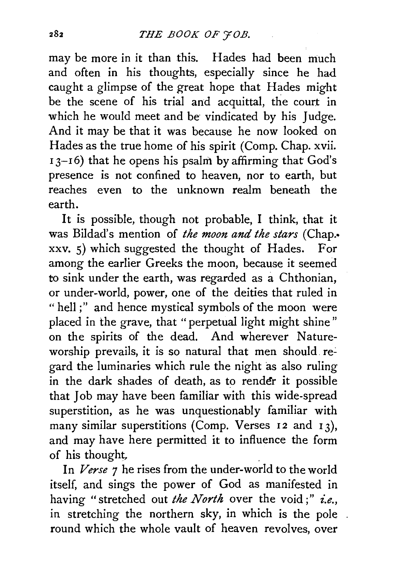may be more in it than this. Hades had been much and often in his thoughts, especially since he had caught a glimpse of the great hope that Hades might be the scene of his trial and acquittal, the court in which he would meet and be vindicated by his Judge. And it may be that it was because he now looked on Hades as the true home of his spirit (Comp. Chap. xvii.  $I_3$ - $I_6$ ) that he opens his psalm by affirming that God's presence is not confined to heaven, nor to earth, but reaches even to the unknown realm beneath the earth.

It is possible, though not probable, I think, that it was Bildad's mention of *the moon and the stars* (Chap.• xxv. 5) which suggested the thought of Hades. For among the earlier Greeks the moon, because it seemed to sink under the earth, was regarded as a Chthonian, or under-world, power, one of the deities that ruled in "hell;" and hence mystical symbols of the moon were placed in the grave, that "perpetual light might shine" on the spirits of the dead. And wherever Natureworship prevails, it is so natural that men should regard the luminaries which rule the night as also ruling in the dark shades of death, as to render it possible that Job may have been familiar with this wide-spread superstition, as he was unquestionably familiar with many similar superstitions (Comp. Verses 12 and 13), and may have here permitted it to influence the form of his thought.

In *Verse* 7 he rises from the under-world to the world itself, and sings the power of God as manifested in having "stretched out *the North* over the void;" *i.e.,*  in stretching the northern sky, in which is the pole round which the whole vault of heaven revolves, over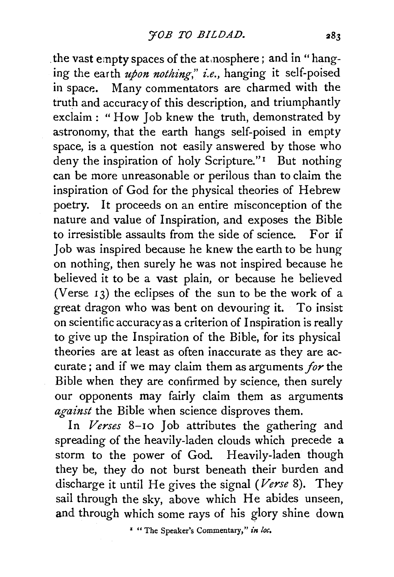the vast empty spaces of the at nosphere; and in "hanging the earth *upon nothing," i.e.,* hanging it self-poised in space. Many commentators are charmed with the truth and accuracy of this description, and triumphantly exclaim : "How Job knew the truth, demonstrated by astronomy, that the earth hangs self-poised in empty space, is a question not easily answered by those who deny the inspiration of holy Scripture."<sup>1</sup> But nothing can be more unreasonable or perilous than to claim the inspiration of God for the physical theories of Hebrew poetry. It proceeds on an entire misconception of the nature and value of Inspiration, and exposes the Bible to irresistible assaults from the side of science. For if Job was inspired because he knew the earth to be hung on nothing, then surely he was not inspired because he believed it to be a vast plain, or because he believed (Verse 13) the eclipses of the sun to be the work of a great dragon who was bent on devouring it. To insist on scientific accuracy as a criterion of Inspiration is really to give up the Inspiration of the Bible, for its physical theories are at least as often inaccurate as they are accurate; and if we may claim them as arguments *for* the Bible when they are confirmed by science, then surely our opponents may fairly claim them as arguments *against* the Bible when science disproves them.

In Verses 8-10 Job attributes the gathering and spreading of the heavily-laden clouds which precede a storm to the power of God. Heavily-laden though they be, they do not burst beneath their burden and discharge it until He gives the signal *(Verse* 8). They sail through the sky, above which He abides unseen, and through which some rays of his glory shine down

*•* "The Speaker's Commentary," *in toe.*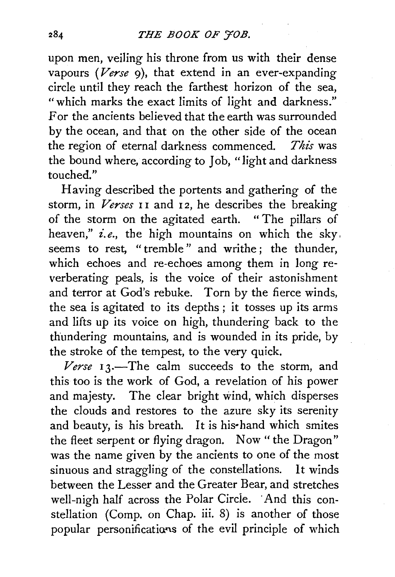upon men, veiling his throne from us with their dense vapours *(Verse*  $9$ *)*, that extend in an ever-expanding circle until they reach the farthest horizon of the sea, "which marks the exact limits of light and darkness." For the ancients believed that the earth was surrounded by the ocean, and that on the other side of the ocean the region of eternal darkness commenced. *This* was the bound where, according *to Job,* "light and darkness touched."

Having described the portents and gathering of the *storm,* in *Verses* I I and I 2, he describes the breaking of the storm on the agitated earth. " The pillars of heaven," *i.e.,* the high mountains on which the sky, seems *to* rest, "tremble" and writhe ; the thunder, which echoes and re-echoes among them in long reverberating peals, is the voice of their astonishment and terror at God's rebuke. Torn by the fierce winds, the sea is agitated *to* its depths ; it tosses up its arms and lifts *up* its voice on high, thundering back *to* the thundering mountains, and is wounded in its pride, by the stroke of the tempest, to the very quick.

*Verse* I 3.-The calm succeeds *to* the storm, and this too is the work of God, a revelation of his power and majesty. The clear bright wind, which disperses the clouds and restores to the azure sky its serenity and beauty, is his breath. It is his• hand which smites the fleet serpent or flying dragon. Now "the Dragon" was the name given by the ancients *to* one of the most sinuous and straggling of the constellations. It winds between the Lesser and the Greater Bear, and stretches well-nigh half across the Polar Circle. And this constellation (Comp. on Chap. iii. 8) is another of those popular personifications of the evil principle of which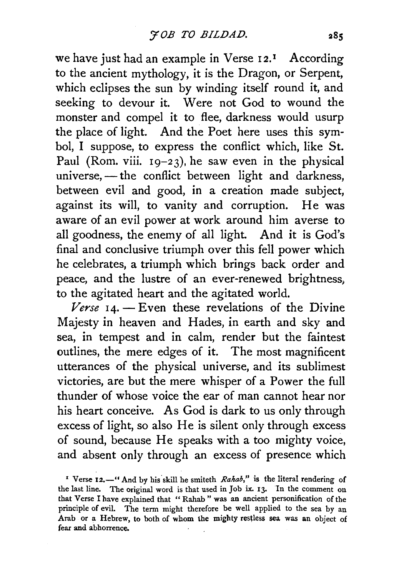we have just had an example in Verse 12.<sup>1</sup> According to the ancient mythology, it is the Dragon, or Serpent, which eclipses the sun by winding itself round it, and seeking to devour it. Were not God to wound the monster and compel it to flee, darkness would usurp the place of light. And the Poet here uses this symbol, I suppose, to express the conflict which, like St. Paul (Rom. viii.  $19-23$ ), he saw even in the physical universe, $-\text{the conflict between light and darkness.}$ between evil and good, in a creation made subject, against its will, to vanity and corruption. He was aware of an evil power at work around him averse to all goodness, the enemy of all light. And it is God's final and conclusive triumph over this fell power which he celebrates, a triumph which brings back order and peace, and the lustre of an ever-renewed brightness, to the agitated heart and the agitated world.

 $Verse$   $14.$  - Even these revelations of the Divine Majesty in heaven and Hades, in earth and sky and sea, in tempest and in calm, render but the faintest outlines, the mere edges of it. The most magnificent utterances of the physical universe, and its sublimest victories, are but the mere whisper of a Power the full thunder of whose voice the ear of man cannot hear nor his heart conceive. As God is dark to us only through excess of light, so also He is silent only through excess of sound, because He speaks with a too mighty voice, and absent only through an excess of presence which

<sup>1</sup> Verse 12.<sup>-'</sup> And by his skill he smiteth *Rahab*," is the literal rendering of the last line. The original word is that used in Job ix. 13. In the comment on that Verse I have explained that " Rahab " was an ancient personification of the principle of evil. The term might therefore be well applied to the sea by an Arab or a Hebrew, to both of whom the mighty restless sea was an object of fear and abhorrence.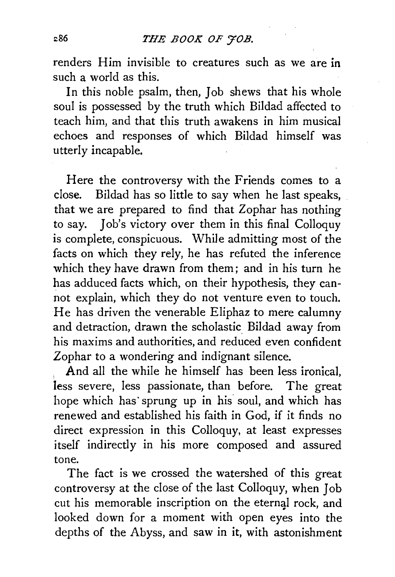renders Him invisible to creatures such as we are in such a world as this.

In this noble psalm, then, Job shews that his whole soul is possessed by the truth which Bildad affected to teach him, and that this truth awakens in him musical echoes and responses of which Bildad himself was utterly incapable.

Here the controversy with the Friends comes to a close. Bildad has so little to say when he last speaks, that we are prepared to find that Zophar has nothing to say. Job's victory over them in this final Colloquy is complete, conspicuous. While admitting most of the facts on which they rely, he has refuted the inference which they have drawn from them; and in his turn he has adduced facts which, on their hypothesis, they cannot explain, which they do not venture even to touch. He has driven the venerable Eliphaz to mere calumny and detraction, drawn the scholastic Bildad away from his maxims and authorities, and reduced even confident Zophar to a wondering and indignant silence.

And all the while he himself has been less ironical, less severe, less passionate, than before. The great hope which has sprung up in his soul, and which has renewed and established his faith in God, if it finds no direct expression in this Colloquy, at least expresses itself indirectly in his more composed and assured tone.

The fact is we crossed the watershed of this great controversy at the close of the last Colloquy, when Job cut his memorable inscription on the eternal rock, and looked down for a moment *with* open eyes into the depths of the Abyss, and saw in it, with astonishment